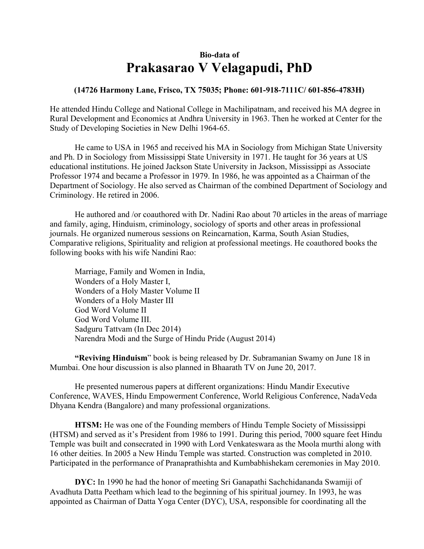## **Bio-data of Prakasarao V Velagapudi, PhD**

## **(14726 Harmony Lane, Frisco, TX 75035; Phone: 601-918-7111C/ 601-856-4783H)**

He attended Hindu College and National College in Machilipatnam, and received his MA degree in Rural Development and Economics at Andhra University in 1963. Then he worked at Center for the Study of Developing Societies in New Delhi 1964-65.

He came to USA in 1965 and received his MA in Sociology from Michigan State University and Ph. D in Sociology from Mississippi State University in 1971. He taught for 36 years at US educational institutions. He joined Jackson State University in Jackson, Mississippi as Associate Professor 1974 and became a Professor in 1979. In 1986, he was appointed as a Chairman of the Department of Sociology. He also served as Chairman of the combined Department of Sociology and Criminology. He retired in 2006.

He authored and /or coauthored with Dr. Nadini Rao about 70 articles in the areas of marriage and family, aging, Hinduism, criminology, sociology of sports and other areas in professional journals. He organized numerous sessions on Reincarnation, Karma, South Asian Studies, Comparative religions, Spirituality and religion at professional meetings. He coauthored books the following books with his wife Nandini Rao:

Marriage, Family and Women in India, Wonders of a Holy Master I, Wonders of a Holy Master Volume II Wonders of a Holy Master III God Word Volume II God Word Volume III. Sadguru Tattvam (In Dec 2014) Narendra Modi and the Surge of Hindu Pride (August 2014)

 **"Reviving Hinduism**" book is being released by Dr. Subramanian Swamy on June 18 in Mumbai. One hour discussion is also planned in Bhaarath TV on June 20, 2017.

He presented numerous papers at different organizations: Hindu Mandir Executive Conference, WAVES, Hindu Empowerment Conference, World Religious Conference, NadaVeda Dhyana Kendra (Bangalore) and many professional organizations.

**HTSM:** He was one of the Founding members of Hindu Temple Society of Mississippi (HTSM) and served as it's President from 1986 to 1991. During this period, 7000 square feet Hindu Temple was built and consecrated in 1990 with Lord Venkateswara as the Moola murthi along with 16 other deities. In 2005 a New Hindu Temple was started. Construction was completed in 2010. Participated in the performance of Pranaprathishta and Kumbabhishekam ceremonies in May 2010.

**DYC:** In 1990 he had the honor of meeting Sri Ganapathi Sachchidananda Swamiji of Avadhuta Datta Peetham which lead to the beginning of his spiritual journey. In 1993, he was appointed as Chairman of Datta Yoga Center (DYC), USA, responsible for coordinating all the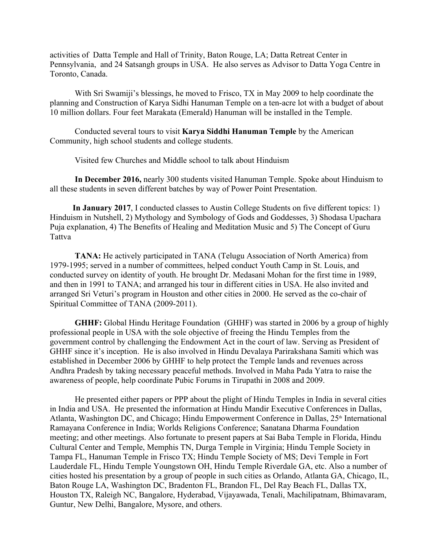activities of Datta Temple and Hall of Trinity, Baton Rouge, LA; Datta Retreat Center in Pennsylvania, and 24 Satsangh groups in USA. He also serves as Advisor to Datta Yoga Centre in Toronto, Canada.

With Sri Swamiji's blessings, he moved to Frisco, TX in May 2009 to help coordinate the planning and Construction of Karya Sidhi Hanuman Temple on a ten-acre lot with a budget of about 10 million dollars. Four feet Marakata (Emerald) Hanuman will be installed in the Temple.

Conducted several tours to visit **Karya Siddhi Hanuman Temple** by the American Community, high school students and college students.

Visited few Churches and Middle school to talk about Hinduism

**In December 2016,** nearly 300 students visited Hanuman Temple. Spoke about Hinduism to all these students in seven different batches by way of Power Point Presentation.

 **In January 2017**, I conducted classes to Austin College Students on five different topics: 1) Hinduism in Nutshell, 2) Mythology and Symbology of Gods and Goddesses, 3) Shodasa Upachara Puja explanation, 4) The Benefits of Healing and Meditation Music and 5) The Concept of Guru Tattva

**TANA:** He actively participated in TANA (Telugu Association of North America) from 1979-1995; served in a number of committees, helped conduct Youth Camp in St. Louis, and conducted survey on identity of youth. He brought Dr. Medasani Mohan for the first time in 1989, and then in 1991 to TANA; and arranged his tour in different cities in USA. He also invited and arranged Sri Veturi's program in Houston and other cities in 2000. He served as the co-chair of Spiritual Committee of TANA (2009-2011).

**GHHF:** Global Hindu Heritage Foundation (GHHF) was started in 2006 by a group of highly professional people in USA with the sole objective of freeing the Hindu Temples from the government control by challenging the Endowment Act in the court of law. Serving as President of GHHF since it's inception. He is also involved in Hindu Devalaya Parirakshana Samiti which was established in December 2006 by GHHF to help protect the Temple lands and revenues across Andhra Pradesh by taking necessary peaceful methods. Involved in Maha Pada Yatra to raise the awareness of people, help coordinate Pubic Forums in Tirupathi in 2008 and 2009.

He presented either papers or PPP about the plight of Hindu Temples in India in several cities in India and USA. He presented the information at Hindu Mandir Executive Conferences in Dallas, Atlanta, Washington DC, and Chicago; Hindu Empowerment Conference in Dallas, 25<sup>th</sup> International Ramayana Conference in India; Worlds Religions Conference; Sanatana Dharma Foundation meeting; and other meetings. Also fortunate to present papers at Sai Baba Temple in Florida, Hindu Cultural Center and Temple, Memphis TN, Durga Temple in Virginia; Hindu Temple Society in Tampa FL, Hanuman Temple in Frisco TX; Hindu Temple Society of MS; Devi Temple in Fort Lauderdale FL, Hindu Temple Youngstown OH, Hindu Temple Riverdale GA, etc. Also a number of cities hosted his presentation by a group of people in such cities as Orlando, Atlanta GA, Chicago, IL, Baton Rouge LA, Washington DC, Bradenton FL, Brandon FL, Del Ray Beach FL, Dallas TX, Houston TX, Raleigh NC, Bangalore, Hyderabad, Vijayawada, Tenali, Machilipatnam, Bhimavaram, Guntur, New Delhi, Bangalore, Mysore, and others.